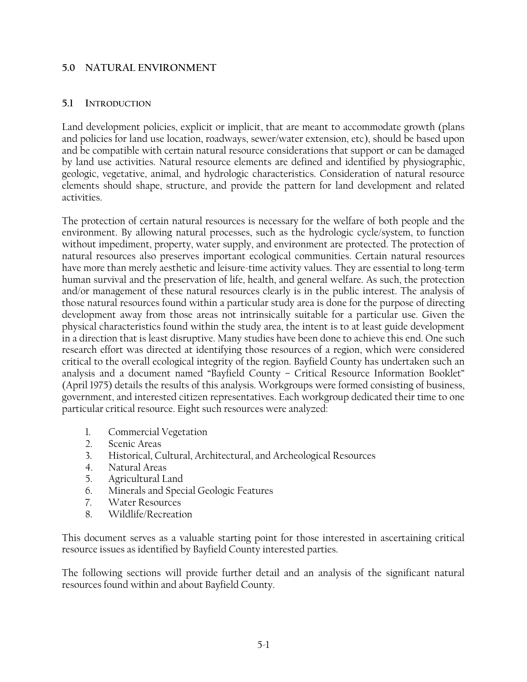#### **5.0 NATURAL ENVIRONMENT**

#### **5.1 INTRODUCTION**

Land development policies, explicit or implicit, that are meant to accommodate growth (plans and policies for land use location, roadways, sewer/water extension, etc), should be based upon and be compatible with certain natural resource considerations that support or can be damaged by land use activities. Natural resource elements are defined and identified by physiographic, geologic, vegetative, animal, and hydrologic characteristics. Consideration of natural resource elements should shape, structure, and provide the pattern for land development and related activities.

The protection of certain natural resources is necessary for the welfare of both people and the environment. By allowing natural processes, such as the hydrologic cycle/system, to function without impediment, property, water supply, and environment are protected. The protection of natural resources also preserves important ecological communities. Certain natural resources have more than merely aesthetic and leisure-time activity values. They are essential to long-term human survival and the preservation of life, health, and general welfare. As such, the protection and/or management of these natural resources clearly is in the public interest. The analysis of those natural resources found within a particular study area is done for the purpose of directing development away from those areas not intrinsically suitable for a particular use. Given the physical characteristics found within the study area, the intent is to at least guide development in a direction that is least disruptive. Many studies have been done to achieve this end. One such research effort was directed at identifying those resources of a region, which were considered critical to the overall ecological integrity of the region. Bayfield County has undertaken such an analysis and a document named "Bayfield County – Critical Resource Information Booklet" (April 1975) details the results of this analysis. Workgroups were formed consisting of business, government, and interested citizen representatives. Each workgroup dedicated their time to one particular critical resource. Eight such resources were analyzed:

- 1. Commercial Vegetation
- 2. Scenic Areas
- 3. Historical, Cultural, Architectural, and Archeological Resources
- 4. Natural Areas
- 5. Agricultural Land
- 6. Minerals and Special Geologic Features
- 7. Water Resources
- 8. Wildlife/Recreation

This document serves as a valuable starting point for those interested in ascertaining critical resource issues as identified by Bayfield County interested parties.

The following sections will provide further detail and an analysis of the significant natural resources found within and about Bayfield County.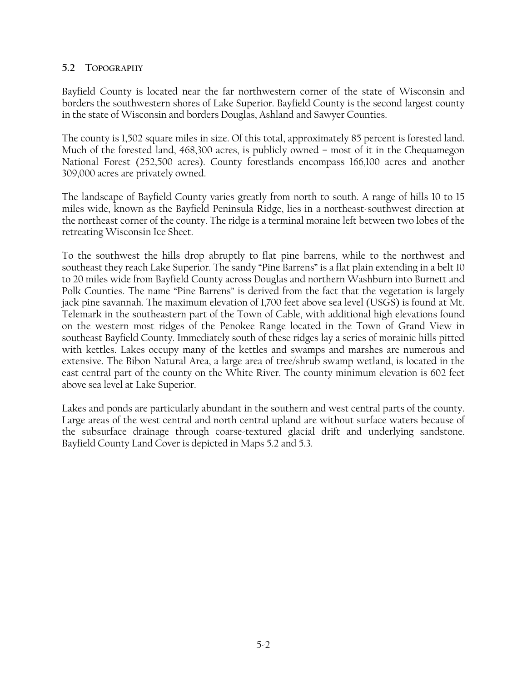### **5.2 TOPOGRAPHY**

Bayfield County is located near the far northwestern corner of the state of Wisconsin and borders the southwestern shores of Lake Superior. Bayfield County is the second largest county in the state of Wisconsin and borders Douglas, Ashland and Sawyer Counties.

The county is 1,502 square miles in size. Of this total, approximately 85 percent is forested land. Much of the forested land, 468,300 acres, is publicly owned – most of it in the Chequamegon National Forest (252,500 acres). County forestlands encompass 166,100 acres and another 309,000 acres are privately owned.

The landscape of Bayfield County varies greatly from north to south. A range of hills 10 to 15 miles wide, known as the Bayfield Peninsula Ridge, lies in a northeast-southwest direction at the northeast corner of the county. The ridge is a terminal moraine left between two lobes of the retreating Wisconsin Ice Sheet.

To the southwest the hills drop abruptly to flat pine barrens, while to the northwest and southeast they reach Lake Superior. The sandy "Pine Barrens" is a flat plain extending in a belt 10 to 20 miles wide from Bayfield County across Douglas and northern Washburn into Burnett and Polk Counties. The name "Pine Barrens" is derived from the fact that the vegetation is largely jack pine savannah. The maximum elevation of 1,700 feet above sea level (USGS) is found at Mt. Telemark in the southeastern part of the Town of Cable, with additional high elevations found on the western most ridges of the Penokee Range located in the Town of Grand View in southeast Bayfield County. Immediately south of these ridges lay a series of morainic hills pitted with kettles. Lakes occupy many of the kettles and swamps and marshes are numerous and extensive. The Bibon Natural Area, a large area of tree/shrub swamp wetland, is located in the east central part of the county on the White River. The county minimum elevation is 602 feet above sea level at Lake Superior.

Lakes and ponds are particularly abundant in the southern and west central parts of the county. Large areas of the west central and north central upland are without surface waters because of the subsurface drainage through coarse-textured glacial drift and underlying sandstone. Bayfield County Land Cover is depicted in Maps 5.2 and 5.3.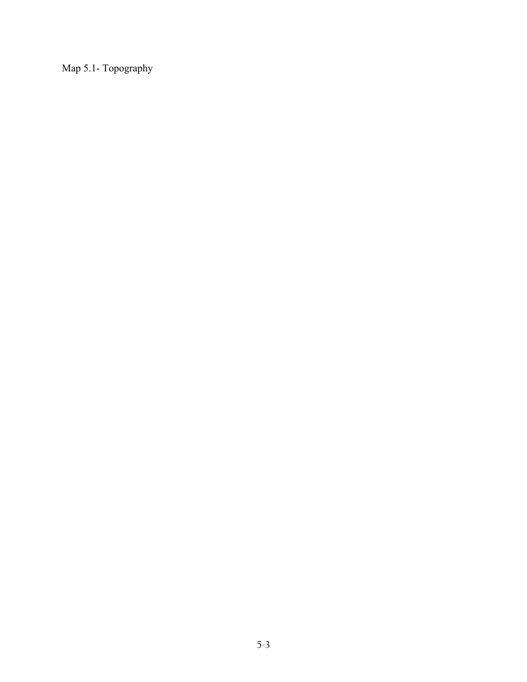Map 5.1- Topography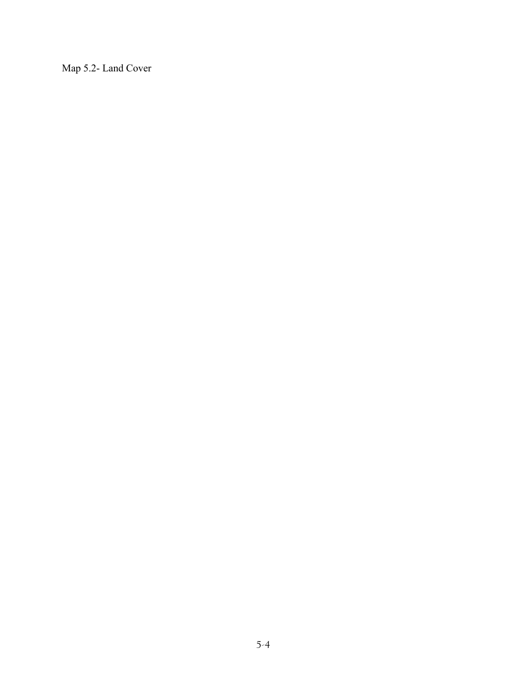Map 5.2- Land Cover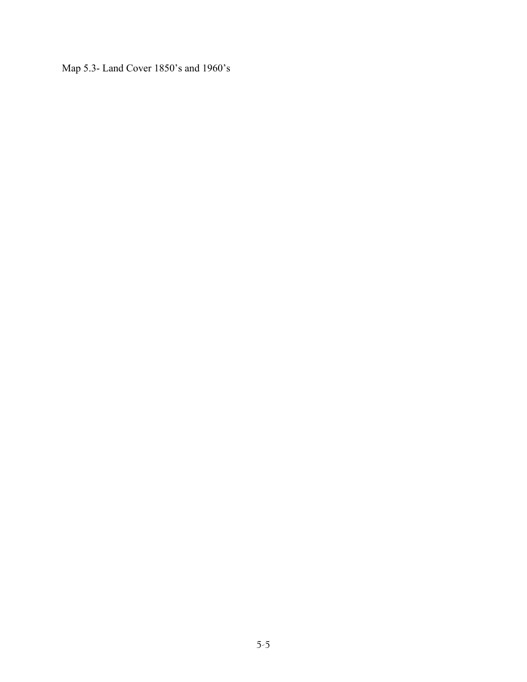Map 5.3- Land Cover 1850's and 1960's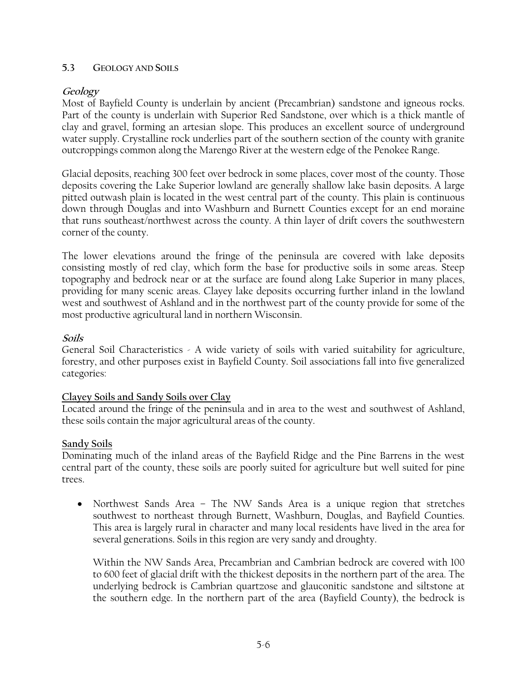#### **5.3 GEOLOGY AND SOILS**

# **Geology**

Most of Bayfield County is underlain by ancient (Precambrian) sandstone and igneous rocks. Part of the county is underlain with Superior Red Sandstone, over which is a thick mantle of clay and gravel, forming an artesian slope. This produces an excellent source of underground water supply. Crystalline rock underlies part of the southern section of the county with granite outcroppings common along the Marengo River at the western edge of the Penokee Range.

Glacial deposits, reaching 300 feet over bedrock in some places, cover most of the county. Those deposits covering the Lake Superior lowland are generally shallow lake basin deposits. A large pitted outwash plain is located in the west central part of the county. This plain is continuous down through Douglas and into Washburn and Burnett Counties except for an end moraine that runs southeast/northwest across the county. A thin layer of drift covers the southwestern corner of the county.

The lower elevations around the fringe of the peninsula are covered with lake deposits consisting mostly of red clay, which form the base for productive soils in some areas. Steep topography and bedrock near or at the surface are found along Lake Superior in many places, providing for many scenic areas. Clayey lake deposits occurring further inland in the lowland west and southwest of Ashland and in the northwest part of the county provide for some of the most productive agricultural land in northern Wisconsin.

# **Soils**

General Soil Characteristics - A wide variety of soils with varied suitability for agriculture, forestry, and other purposes exist in Bayfield County. Soil associations fall into five generalized categories:

# **Clayey Soils and Sandy Soils over Clay**

Located around the fringe of the peninsula and in area to the west and southwest of Ashland, these soils contain the major agricultural areas of the county.

# **Sandy Soils**

Dominating much of the inland areas of the Bayfield Ridge and the Pine Barrens in the west central part of the county, these soils are poorly suited for agriculture but well suited for pine trees.

• Northwest Sands Area – The NW Sands Area is a unique region that stretches southwest to northeast through Burnett, Washburn, Douglas, and Bayfield Counties. This area is largely rural in character and many local residents have lived in the area for several generations. Soils in this region are very sandy and droughty.

Within the NW Sands Area, Precambrian and Cambrian bedrock are covered with 100 to 600 feet of glacial drift with the thickest deposits in the northern part of the area. The underlying bedrock is Cambrian quartzose and glauconitic sandstone and siltstone at the southern edge. In the northern part of the area (Bayfield County), the bedrock is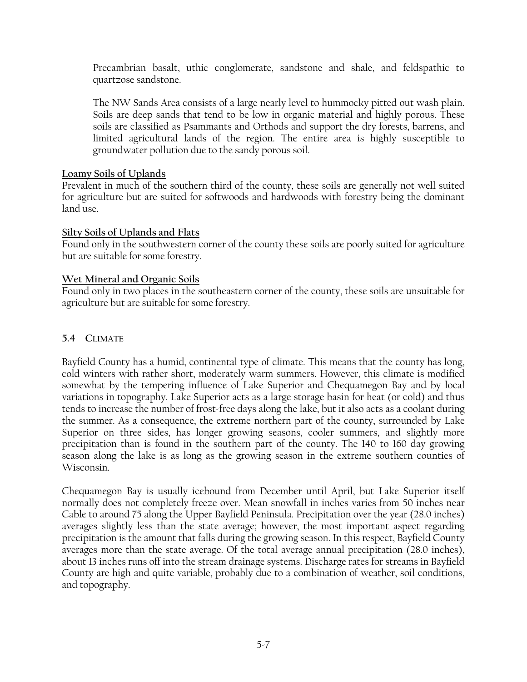Precambrian basalt, uthic conglomerate, sandstone and shale, and feldspathic to quartzose sandstone.

The NW Sands Area consists of a large nearly level to hummocky pitted out wash plain. Soils are deep sands that tend to be low in organic material and highly porous. These soils are classified as Psammants and Orthods and support the dry forests, barrens, and limited agricultural lands of the region. The entire area is highly susceptible to groundwater pollution due to the sandy porous soil.

# **Loamy Soils of Uplands**

Prevalent in much of the southern third of the county, these soils are generally not well suited for agriculture but are suited for softwoods and hardwoods with forestry being the dominant land use.

### **Silty Soils of Uplands and Flats**

Found only in the southwestern corner of the county these soils are poorly suited for agriculture but are suitable for some forestry.

# **Wet Mineral and Organic Soils**

Found only in two places in the southeastern corner of the county, these soils are unsuitable for agriculture but are suitable for some forestry.

# **5.4 CLIMATE**

Bayfield County has a humid, continental type of climate. This means that the county has long, cold winters with rather short, moderately warm summers. However, this climate is modified somewhat by the tempering influence of Lake Superior and Chequamegon Bay and by local variations in topography. Lake Superior acts as a large storage basin for heat (or cold) and thus tends to increase the number of frost-free days along the lake, but it also acts as a coolant during the summer. As a consequence, the extreme northern part of the county, surrounded by Lake Superior on three sides, has longer growing seasons, cooler summers, and slightly more precipitation than is found in the southern part of the county. The 140 to 160 day growing season along the lake is as long as the growing season in the extreme southern counties of Wisconsin.

Chequamegon Bay is usually icebound from December until April, but Lake Superior itself normally does not completely freeze over. Mean snowfall in inches varies from 50 inches near Cable to around 75 along the Upper Bayfield Peninsula. Precipitation over the year (28.0 inches) averages slightly less than the state average; however, the most important aspect regarding precipitation is the amount that falls during the growing season. In this respect, Bayfield County averages more than the state average. Of the total average annual precipitation (28.0 inches), about 13 inches runs off into the stream drainage systems. Discharge rates for streams in Bayfield County are high and quite variable, probably due to a combination of weather, soil conditions, and topography.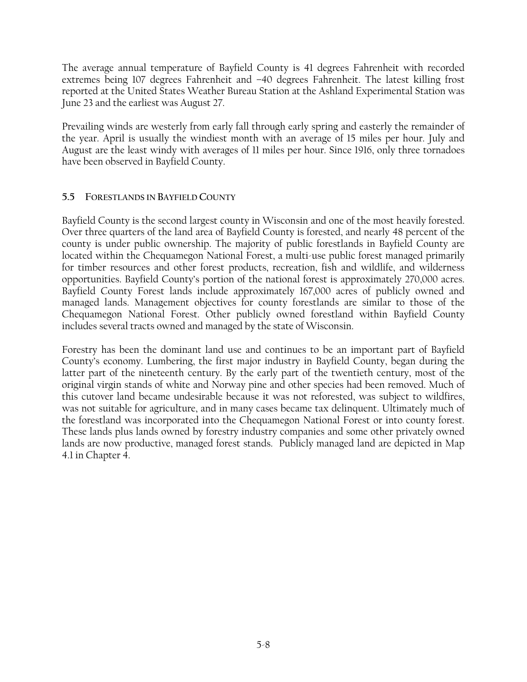The average annual temperature of Bayfield County is 41 degrees Fahrenheit with recorded extremes being 107 degrees Fahrenheit and –40 degrees Fahrenheit. The latest killing frost reported at the United States Weather Bureau Station at the Ashland Experimental Station was June 23 and the earliest was August 27.

Prevailing winds are westerly from early fall through early spring and easterly the remainder of the year. April is usually the windiest month with an average of 15 miles per hour. July and August are the least windy with averages of 11 miles per hour. Since 1916, only three tornadoes have been observed in Bayfield County.

# **5.5 FORESTLANDS IN BAYFIELD COUNTY**

Bayfield County is the second largest county in Wisconsin and one of the most heavily forested. Over three quarters of the land area of Bayfield County is forested, and nearly 48 percent of the county is under public ownership. The majority of public forestlands in Bayfield County are located within the Chequamegon National Forest, a multi-use public forest managed primarily for timber resources and other forest products, recreation, fish and wildlife, and wilderness opportunities. Bayfield County's portion of the national forest is approximately 270,000 acres. Bayfield County Forest lands include approximately 167,000 acres of publicly owned and managed lands. Management objectives for county forestlands are similar to those of the Chequamegon National Forest. Other publicly owned forestland within Bayfield County includes several tracts owned and managed by the state of Wisconsin.

Forestry has been the dominant land use and continues to be an important part of Bayfield County's economy. Lumbering, the first major industry in Bayfield County, began during the latter part of the nineteenth century. By the early part of the twentieth century, most of the original virgin stands of white and Norway pine and other species had been removed. Much of this cutover land became undesirable because it was not reforested, was subject to wildfires, was not suitable for agriculture, and in many cases became tax delinquent. Ultimately much of the forestland was incorporated into the Chequamegon National Forest or into county forest. These lands plus lands owned by forestry industry companies and some other privately owned lands are now productive, managed forest stands. Publicly managed land are depicted in Map 4.1 in Chapter 4.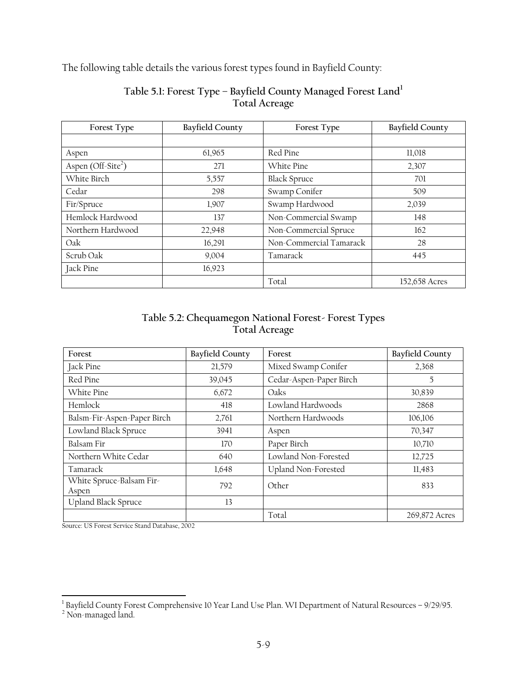The following table details the various forest types found in Bayfield County:

| Forest Type                    | <b>Bayfield County</b> | Forest Type             | <b>Bayfield County</b> |
|--------------------------------|------------------------|-------------------------|------------------------|
|                                |                        |                         |                        |
| Aspen                          | 61,965                 | Red Pine                | 11,018                 |
| Aspen (Off-Site <sup>2</sup> ) | 271                    | White Pine              | 2,307                  |
| White Birch                    | 5,557                  | <b>Black Spruce</b>     | 701                    |
| Cedar                          | 298                    | Swamp Conifer           | 509                    |
| Fir/Spruce                     | 1,907                  | Swamp Hardwood          | 2,039                  |
| Hemlock Hardwood               | 137                    | Non-Commercial Swamp    | 148                    |
| Northern Hardwood              | 22,948                 | Non-Commercial Spruce   | 162                    |
| Oak                            | 16,291                 | Non-Commercial Tamarack | 28                     |
| Scrub Oak                      | 9,004                  | Tamarack                | 445                    |
| Jack Pine                      | 16,923                 |                         |                        |
|                                |                        | Total                   | 152,658 Acres          |

# **Table 5.1: Forest Type – Bayfield County Managed Forest Land<sup>1</sup> Total Acreage**

# **Table 5.2: Chequamegon National Forest- Forest Types Total Acreage**

| Forest                            | <b>Bayfield County</b> | Forest                  | <b>Bayfield County</b> |
|-----------------------------------|------------------------|-------------------------|------------------------|
| Jack Pine                         | 21,579                 | Mixed Swamp Conifer     | 2,368                  |
| Red Pine                          | 39,045                 | Cedar-Aspen-Paper Birch | 5                      |
| White Pine                        | 6,672                  | Oaks                    | 30,839                 |
| Hemlock                           | 418                    | Lowland Hardwoods       | 2868                   |
| Balsm-Fir-Aspen-Paper Birch       | 2,761                  | Northern Hardwoods      | 106,106                |
| Lowland Black Spruce              | 3941                   | Aspen                   | 70,347                 |
| Balsam Fir                        | 170                    | Paper Birch             | 10,710                 |
| Northern White Cedar              | 640                    | Lowland Non-Forested    | 12,725                 |
| Tamarack                          | 1,648                  | Upland Non-Forested     | 11,483                 |
| White Spruce-Balsam Fir-<br>Aspen | 792                    | Other                   | 833                    |
| <b>Upland Black Spruce</b>        | 13                     |                         |                        |
|                                   |                        | Total                   | 269,872 Acres          |

Source: US Forest Service Stand Database, 2002

<sup>1</sup> Bayfield County Forest Comprehensive 10 Year Land Use Plan. WI Department of Natural Resources – 9/29/95.<br><sup>2</sup> Non-managed land.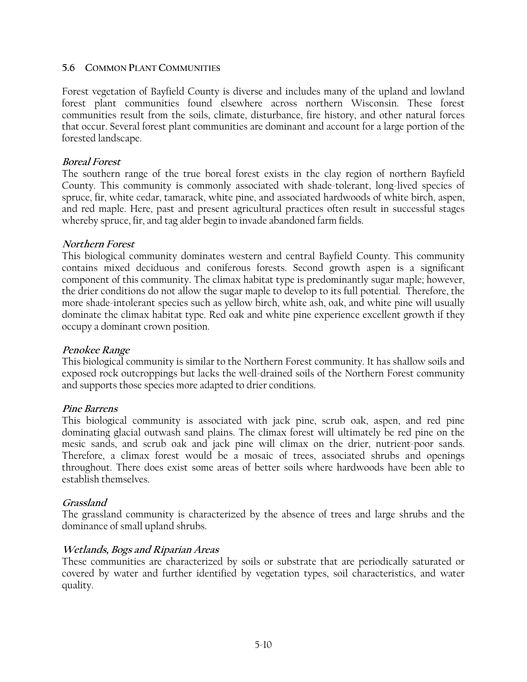#### **5.6 COMMON PLANT COMMUNITIES**

Forest vegetation of Bayfield County is diverse and includes many of the upland and lowland forest plant communities found elsewhere across northern Wisconsin. These forest communities result from the soils, climate, disturbance, fire history, and other natural forces that occur. Several forest plant communities are dominant and account for a large portion of the forested landscape.

#### **Boreal Forest**

The southern range of the true boreal forest exists in the clay region of northern Bayfield County. This community is commonly associated with shade-tolerant, long-lived species of spruce, fir, white cedar, tamarack, white pine, and associated hardwoods of white birch, aspen, and red maple. Here, past and present agricultural practices often result in successful stages whereby spruce, fir, and tag alder begin to invade abandoned farm fields.

#### **Northern Forest**

This biological community dominates western and central Bayfield County. This community contains mixed deciduous and coniferous forests. Second growth aspen is a significant component of this community. The climax habitat type is predominantly sugar maple; however, the drier conditions do not allow the sugar maple to develop to its full potential. Therefore, the more shade-intolerant species such as yellow birch, white ash, oak, and white pine will usually dominate the climax habitat type. Red oak and white pine experience excellent growth if they occupy a dominant crown position.

#### **Penokee Range**

This biological community is similar to the Northern Forest community. It has shallow soils and exposed rock outcroppings but lacks the well-drained soils of the Northern Forest community and supports those species more adapted to drier conditions.

#### **Pine Barrens**

This biological community is associated with jack pine, scrub oak, aspen, and red pine dominating glacial outwash sand plains. The climax forest will ultimately be red pine on the mesic sands, and scrub oak and jack pine will climax on the drier, nutrient-poor sands. Therefore, a climax forest would be a mosaic of trees, associated shrubs and openings throughout. There does exist some areas of better soils where hardwoods have been able to establish themselves.

#### **Grassland**

The grassland community is characterized by the absence of trees and large shrubs and the dominance of small upland shrubs.

#### **Wetlands, Bogs and Riparian Areas**

These communities are characterized by soils or substrate that are periodically saturated or covered by water and further identified by vegetation types, soil characteristics, and water quality.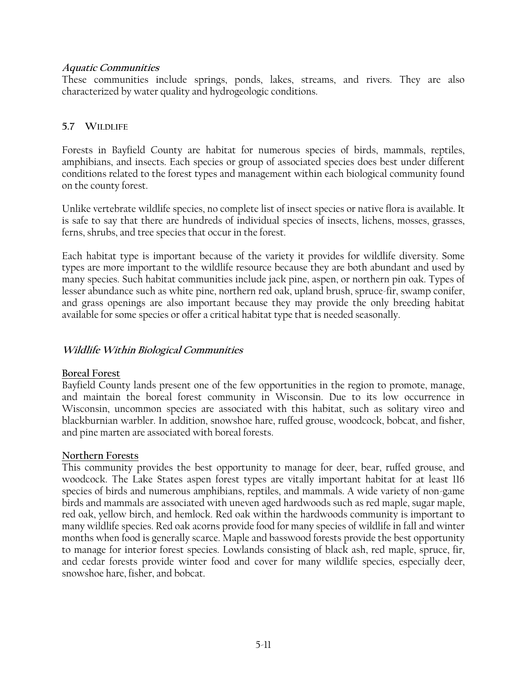#### **Aquatic Communities**

These communities include springs, ponds, lakes, streams, and rivers. They are also characterized by water quality and hydrogeologic conditions.

# **5.7 WILDLIFE**

Forests in Bayfield County are habitat for numerous species of birds, mammals, reptiles, amphibians, and insects. Each species or group of associated species does best under different conditions related to the forest types and management within each biological community found on the county forest.

Unlike vertebrate wildlife species, no complete list of insect species or native flora is available. It is safe to say that there are hundreds of individual species of insects, lichens, mosses, grasses, ferns, shrubs, and tree species that occur in the forest.

Each habitat type is important because of the variety it provides for wildlife diversity. Some types are more important to the wildlife resource because they are both abundant and used by many species. Such habitat communities include jack pine, aspen, or northern pin oak. Types of lesser abundance such as white pine, northern red oak, upland brush, spruce-fir, swamp conifer, and grass openings are also important because they may provide the only breeding habitat available for some species or offer a critical habitat type that is needed seasonally.

# **Wildlife Within Biological Communities**

# **Boreal Forest**

Bayfield County lands present one of the few opportunities in the region to promote, manage, and maintain the boreal forest community in Wisconsin. Due to its low occurrence in Wisconsin, uncommon species are associated with this habitat, such as solitary vireo and blackburnian warbler. In addition, snowshoe hare, ruffed grouse, woodcock, bobcat, and fisher, and pine marten are associated with boreal forests.

# **Northern Forests**

This community provides the best opportunity to manage for deer, bear, ruffed grouse, and woodcock. The Lake States aspen forest types are vitally important habitat for at least 116 species of birds and numerous amphibians, reptiles, and mammals. A wide variety of non-game birds and mammals are associated with uneven aged hardwoods such as red maple, sugar maple, red oak, yellow birch, and hemlock. Red oak within the hardwoods community is important to many wildlife species. Red oak acorns provide food for many species of wildlife in fall and winter months when food is generally scarce. Maple and basswood forests provide the best opportunity to manage for interior forest species. Lowlands consisting of black ash, red maple, spruce, fir, and cedar forests provide winter food and cover for many wildlife species, especially deer, snowshoe hare, fisher, and bobcat.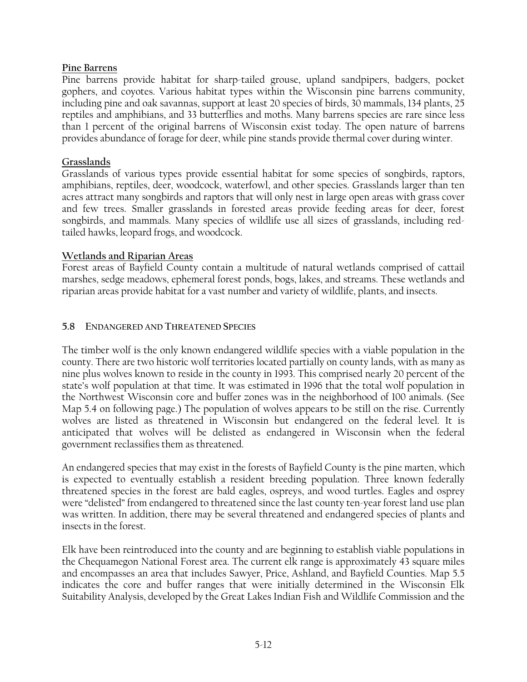### **Pine Barrens**

Pine barrens provide habitat for sharp-tailed grouse, upland sandpipers, badgers, pocket gophers, and coyotes. Various habitat types within the Wisconsin pine barrens community, including pine and oak savannas, support at least 20 species of birds, 30 mammals, 134 plants, 25 reptiles and amphibians, and 33 butterflies and moths. Many barrens species are rare since less than 1 percent of the original barrens of Wisconsin exist today. The open nature of barrens provides abundance of forage for deer, while pine stands provide thermal cover during winter.

### **Grasslands**

Grasslands of various types provide essential habitat for some species of songbirds, raptors, amphibians, reptiles, deer, woodcock, waterfowl, and other species. Grasslands larger than ten acres attract many songbirds and raptors that will only nest in large open areas with grass cover and few trees. Smaller grasslands in forested areas provide feeding areas for deer, forest songbirds, and mammals. Many species of wildlife use all sizes of grasslands, including redtailed hawks, leopard frogs, and woodcock.

### **Wetlands and Riparian Areas**

Forest areas of Bayfield County contain a multitude of natural wetlands comprised of cattail marshes, sedge meadows, ephemeral forest ponds, bogs, lakes, and streams. These wetlands and riparian areas provide habitat for a vast number and variety of wildlife, plants, and insects.

### **5.8 ENDANGERED AND THREATENED SPECIES**

The timber wolf is the only known endangered wildlife species with a viable population in the county. There are two historic wolf territories located partially on county lands, with as many as nine plus wolves known to reside in the county in 1993. This comprised nearly 20 percent of the state's wolf population at that time. It was estimated in 1996 that the total wolf population in the Northwest Wisconsin core and buffer zones was in the neighborhood of 100 animals. (See Map 5.4 on following page.) The population of wolves appears to be still on the rise. Currently wolves are listed as threatened in Wisconsin but endangered on the federal level. It is anticipated that wolves will be delisted as endangered in Wisconsin when the federal government reclassifies them as threatened.

An endangered species that may exist in the forests of Bayfield County is the pine marten, which is expected to eventually establish a resident breeding population. Three known federally threatened species in the forest are bald eagles, ospreys, and wood turtles. Eagles and osprey were "delisted" from endangered to threatened since the last county ten-year forest land use plan was written. In addition, there may be several threatened and endangered species of plants and insects in the forest.

Elk have been reintroduced into the county and are beginning to establish viable populations in the Chequamegon National Forest area. The current elk range is approximately 43 square miles and encompasses an area that includes Sawyer, Price, Ashland, and Bayfield Counties. Map 5.5 indicates the core and buffer ranges that were initially determined in the Wisconsin Elk Suitability Analysis, developed by the Great Lakes Indian Fish and Wildlife Commission and the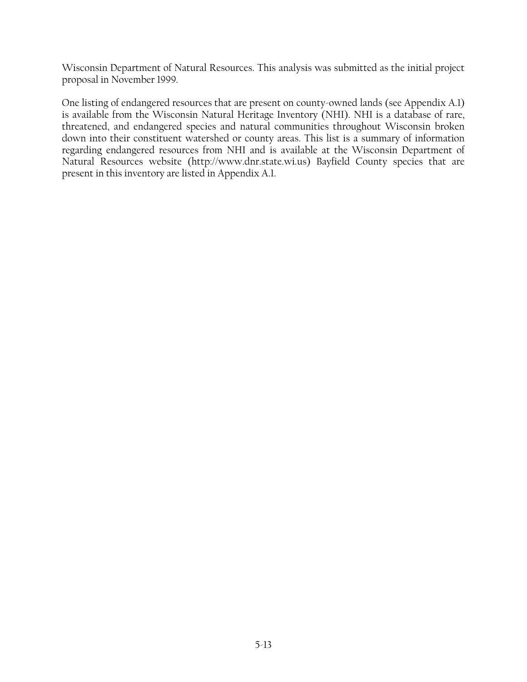Wisconsin Department of Natural Resources. This analysis was submitted as the initial project proposal in November 1999.

One listing of endangered resources that are present on county-owned lands (see Appendix A.1) is available from the Wisconsin Natural Heritage Inventory (NHI). NHI is a database of rare, threatened, and endangered species and natural communities throughout Wisconsin broken down into their constituent watershed or county areas. This list is a summary of information regarding endangered resources from NHI and is available at the Wisconsin Department of Natural Resources website (http://www.dnr.state.wi.us) Bayfield County species that are present in this inventory are listed in Appendix A.1.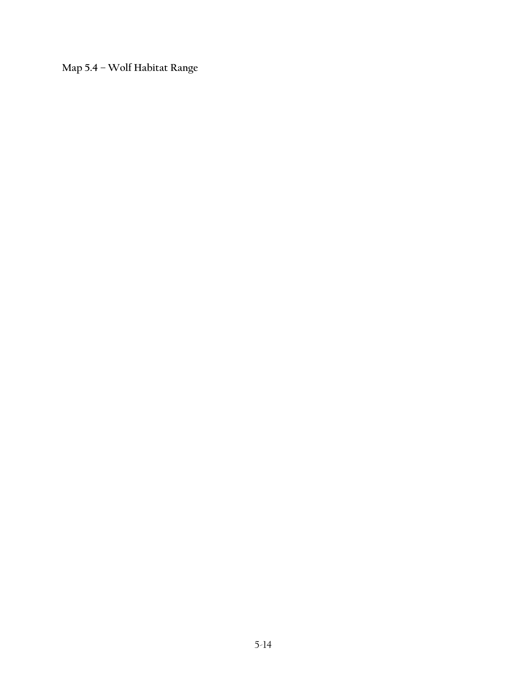**Map 5.4 – Wolf Habitat Range**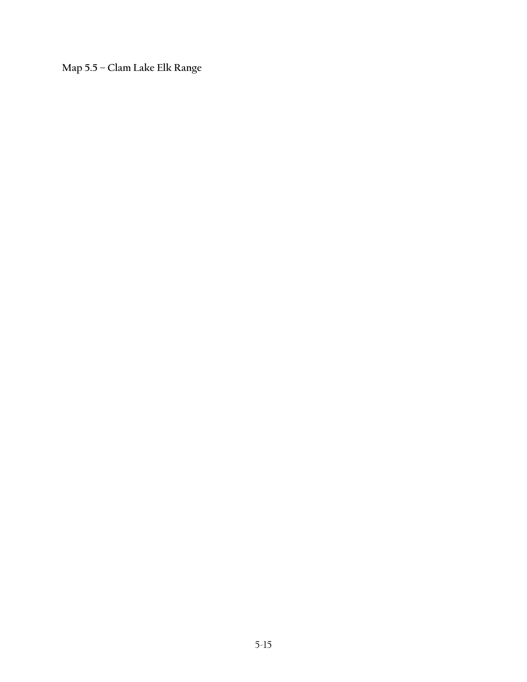**Map 5.5 – Clam Lake Elk Range**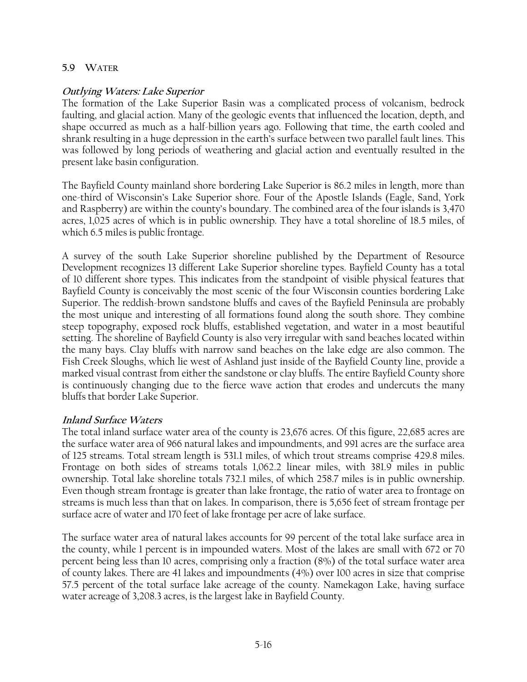#### **5.9 WATER**

#### **Outlying Waters: Lake Superior**

The formation of the Lake Superior Basin was a complicated process of volcanism, bedrock faulting, and glacial action. Many of the geologic events that influenced the location, depth, and shape occurred as much as a half-billion years ago. Following that time, the earth cooled and shrank resulting in a huge depression in the earth's surface between two parallel fault lines. This was followed by long periods of weathering and glacial action and eventually resulted in the present lake basin configuration.

The Bayfield County mainland shore bordering Lake Superior is 86.2 miles in length, more than one-third of Wisconsin's Lake Superior shore. Four of the Apostle Islands (Eagle, Sand, York and Raspberry) are within the county's boundary. The combined area of the four islands is 3,470 acres, 1,025 acres of which is in public ownership. They have a total shoreline of 18.5 miles, of which 6.5 miles is public frontage.

A survey of the south Lake Superior shoreline published by the Department of Resource Development recognizes 13 different Lake Superior shoreline types. Bayfield County has a total of 10 different shore types. This indicates from the standpoint of visible physical features that Bayfield County is conceivably the most scenic of the four Wisconsin counties bordering Lake Superior. The reddish-brown sandstone bluffs and caves of the Bayfield Peninsula are probably the most unique and interesting of all formations found along the south shore. They combine steep topography, exposed rock bluffs, established vegetation, and water in a most beautiful setting. The shoreline of Bayfield County is also very irregular with sand beaches located within the many bays. Clay bluffs with narrow sand beaches on the lake edge are also common. The Fish Creek Sloughs, which lie west of Ashland just inside of the Bayfield County line, provide a marked visual contrast from either the sandstone or clay bluffs. The entire Bayfield County shore is continuously changing due to the fierce wave action that erodes and undercuts the many bluffs that border Lake Superior.

#### **Inland Surface Waters**

The total inland surface water area of the county is 23,676 acres. Of this figure, 22,685 acres are the surface water area of 966 natural lakes and impoundments, and 991 acres are the surface area of 125 streams. Total stream length is 531.1 miles, of which trout streams comprise 429.8 miles. Frontage on both sides of streams totals 1,062.2 linear miles, with 381.9 miles in public ownership. Total lake shoreline totals 732.1 miles, of which 258.7 miles is in public ownership. Even though stream frontage is greater than lake frontage, the ratio of water area to frontage on streams is much less than that on lakes. In comparison, there is 5,656 feet of stream frontage per surface acre of water and 170 feet of lake frontage per acre of lake surface.

The surface water area of natural lakes accounts for 99 percent of the total lake surface area in the county, while 1 percent is in impounded waters. Most of the lakes are small with 672 or 70 percent being less than 10 acres, comprising only a fraction (8%) of the total surface water area of county lakes. There are 41 lakes and impoundments (4%) over 100 acres in size that comprise 57.5 percent of the total surface lake acreage of the county. Namekagon Lake, having surface water acreage of 3,208.3 acres, is the largest lake in Bayfield County.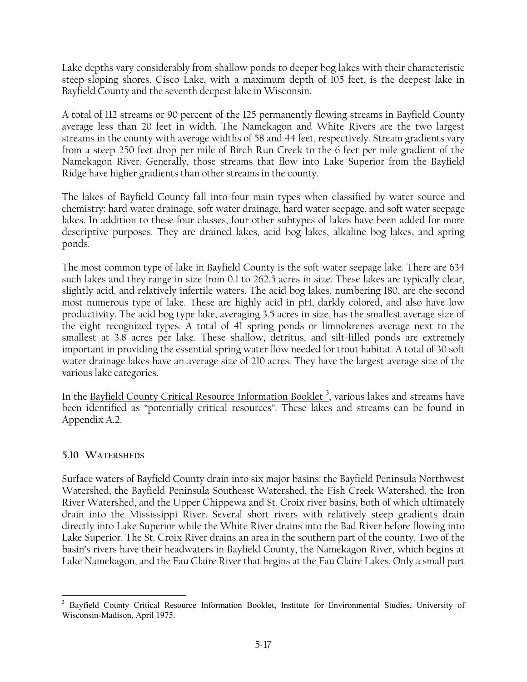Lake depths vary considerably from shallow ponds to deeper bog lakes with their characteristic steep-sloping shores. Cisco Lake, with a maximum depth of 105 feet, is the deepest lake in Bayfield County and the seventh deepest lake in Wisconsin.

A total of 112 streams or 90 percent of the 125 permanently flowing streams in Bayfield County average less than 20 feet in width. The Namekagon and White Rivers are the two largest streams in the county with average widths of 58 and 44 feet, respectively. Stream gradients vary from a steep 250 feet drop per mile of Birch Run Creek to the 6 feet per mile gradient of the Namekagon River. Generally, those streams that flow into Lake Superior from the Bayfield Ridge have higher gradients than other streams in the county.

The lakes of Bayfield County fall into four main types when classified by water source and chemistry: hard water drainage, soft water drainage, hard water seepage, and soft water seepage lakes. In addition to these four classes, four other subtypes of lakes have been added for more descriptive purposes. They are drained lakes, acid bog lakes, alkaline bog lakes, and spring ponds.

The most common type of lake in Bayfield County is the soft water seepage lake. There are 634 such lakes and they range in size from 0.1 to 262.5 acres in size. These lakes are typically clear, slightly acid, and relatively infertile waters. The acid bog lakes, numbering 180, are the second most numerous type of lake. These are highly acid in pH, darkly colored, and also have low productivity. The acid bog type lake, averaging 3.5 acres in size, has the smallest average size of the eight recognized types. A total of 41 spring ponds or limnokrenes average next to the smallest at 3.8 acres per lake. These shallow, detritus, and silt-filled ponds are extremely important in providing the essential spring water flow needed for trout habitat. A total of 30 soft water drainage lakes have an average size of 210 acres. They have the largest average size of the various lake categories.

In the <u>Bayfield County Critical Resource Information Booklet <sup>3</sup>, various lakes and streams have</u> been identified as "potentially critical resources". These lakes and streams can be found in Appendix A.2.

# **5.10 WATERSHEDS**

Surface waters of Bayfield County drain into six major basins: the Bayfield Peninsula Northwest Watershed, the Bayfield Peninsula Southeast Watershed, the Fish Creek Watershed, the Iron River Watershed, and the Upper Chippewa and St. Croix river basins, both of which ultimately drain into the Mississippi River. Several short rivers with relatively steep gradients drain directly into Lake Superior while the White River drains into the Bad River before flowing into Lake Superior. The St. Croix River drains an area in the southern part of the county. Two of the basin's rivers have their headwaters in Bayfield County, the Namekagon River, which begins at Lake Namekagon, and the Eau Claire River that begins at the Eau Claire Lakes. Only a small part

 $\overline{a}$ <sup>3</sup> Bayfield County Critical Resource Information Booklet, Institute for Environmental Studies, University of Wisconsin-Madison, April 1975.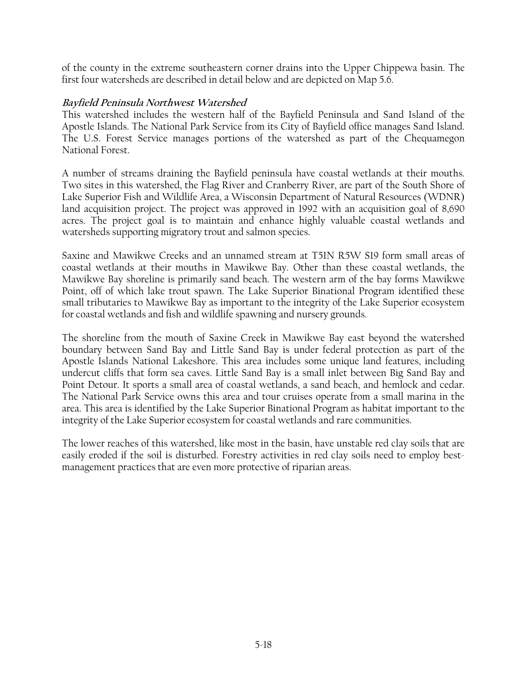of the county in the extreme southeastern corner drains into the Upper Chippewa basin. The first four watersheds are described in detail below and are depicted on Map 5.6.

### **Bayfield Peninsula Northwest Watershed**

This watershed includes the western half of the Bayfield Peninsula and Sand Island of the Apostle Islands. The National Park Service from its City of Bayfield office manages Sand Island. The U.S. Forest Service manages portions of the watershed as part of the Chequamegon National Forest.

A number of streams draining the Bayfield peninsula have coastal wetlands at their mouths. Two sites in this watershed, the Flag River and Cranberry River, are part of the South Shore of Lake Superior Fish and Wildlife Area, a Wisconsin Department of Natural Resources (WDNR) land acquisition project. The project was approved in 1992 with an acquisition goal of 8,690 acres. The project goal is to maintain and enhance highly valuable coastal wetlands and watersheds supporting migratory trout and salmon species.

Saxine and Mawikwe Creeks and an unnamed stream at T51N R5W S19 form small areas of coastal wetlands at their mouths in Mawikwe Bay. Other than these coastal wetlands, the Mawikwe Bay shoreline is primarily sand beach. The western arm of the bay forms Mawikwe Point, off of which lake trout spawn. The Lake Superior Binational Program identified these small tributaries to Mawikwe Bay as important to the integrity of the Lake Superior ecosystem for coastal wetlands and fish and wildlife spawning and nursery grounds.

The shoreline from the mouth of Saxine Creek in Mawikwe Bay east beyond the watershed boundary between Sand Bay and Little Sand Bay is under federal protection as part of the Apostle Islands National Lakeshore. This area includes some unique land features, including undercut cliffs that form sea caves. Little Sand Bay is a small inlet between Big Sand Bay and Point Detour. It sports a small area of coastal wetlands, a sand beach, and hemlock and cedar. The National Park Service owns this area and tour cruises operate from a small marina in the area. This area is identified by the Lake Superior Binational Program as habitat important to the integrity of the Lake Superior ecosystem for coastal wetlands and rare communities.

The lower reaches of this watershed, like most in the basin, have unstable red clay soils that are easily eroded if the soil is disturbed. Forestry activities in red clay soils need to employ bestmanagement practices that are even more protective of riparian areas.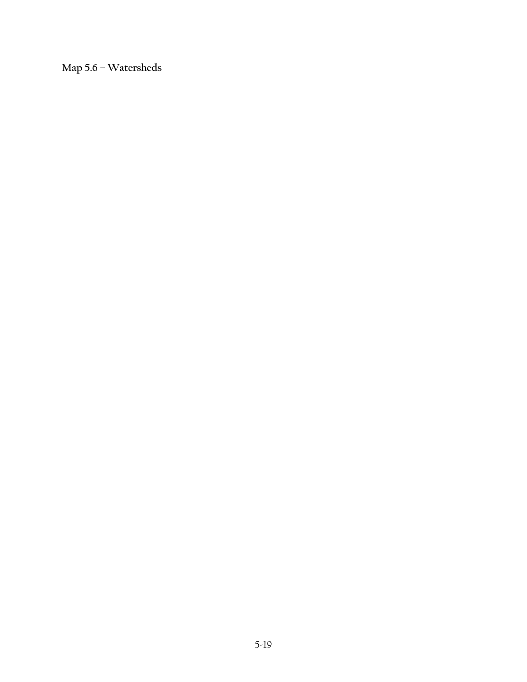**Map 5.6 – Watersheds**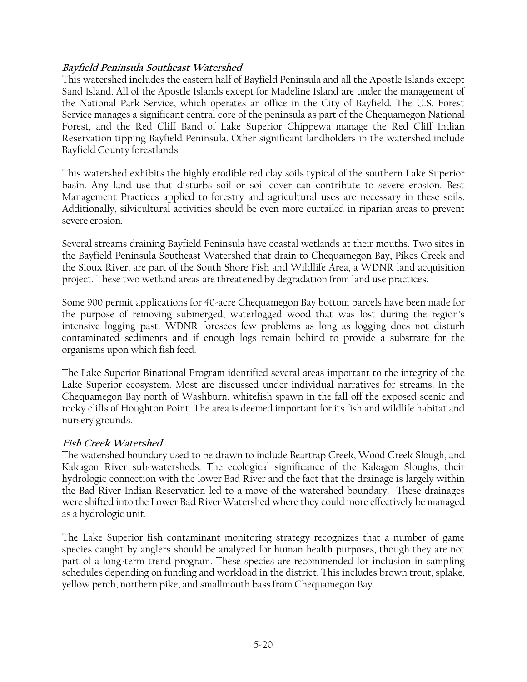# **Bayfield Peninsula Southeast Watershed**

This watershed includes the eastern half of Bayfield Peninsula and all the Apostle Islands except Sand Island. All of the Apostle Islands except for Madeline Island are under the management of the National Park Service, which operates an office in the City of Bayfield. The U.S. Forest Service manages a significant central core of the peninsula as part of the Chequamegon National Forest, and the Red Cliff Band of Lake Superior Chippewa manage the Red Cliff Indian Reservation tipping Bayfield Peninsula. Other significant landholders in the watershed include Bayfield County forestlands.

This watershed exhibits the highly erodible red clay soils typical of the southern Lake Superior basin. Any land use that disturbs soil or soil cover can contribute to severe erosion. Best Management Practices applied to forestry and agricultural uses are necessary in these soils. Additionally, silvicultural activities should be even more curtailed in riparian areas to prevent severe erosion.

Several streams draining Bayfield Peninsula have coastal wetlands at their mouths. Two sites in the Bayfield Peninsula Southeast Watershed that drain to Chequamegon Bay, Pikes Creek and the Sioux River, are part of the South Shore Fish and Wildlife Area, a WDNR land acquisition project. These two wetland areas are threatened by degradation from land use practices.

Some 900 permit applications for 40-acre Chequamegon Bay bottom parcels have been made for the purpose of removing submerged, waterlogged wood that was lost during the region's intensive logging past. WDNR foresees few problems as long as logging does not disturb contaminated sediments and if enough logs remain behind to provide a substrate for the organisms upon which fish feed.

The Lake Superior Binational Program identified several areas important to the integrity of the Lake Superior ecosystem. Most are discussed under individual narratives for streams. In the Chequamegon Bay north of Washburn, whitefish spawn in the fall off the exposed scenic and rocky cliffs of Houghton Point. The area is deemed important for its fish and wildlife habitat and nursery grounds.

# **Fish Creek Watershed**

The watershed boundary used to be drawn to include Beartrap Creek, Wood Creek Slough, and Kakagon River sub-watersheds. The ecological significance of the Kakagon Sloughs, their hydrologic connection with the lower Bad River and the fact that the drainage is largely within the Bad River Indian Reservation led to a move of the watershed boundary. These drainages were shifted into the Lower Bad River Watershed where they could more effectively be managed as a hydrologic unit.

The Lake Superior fish contaminant monitoring strategy recognizes that a number of game species caught by anglers should be analyzed for human health purposes, though they are not part of a long-term trend program. These species are recommended for inclusion in sampling schedules depending on funding and workload in the district. This includes brown trout, splake, yellow perch, northern pike, and smallmouth bass from Chequamegon Bay.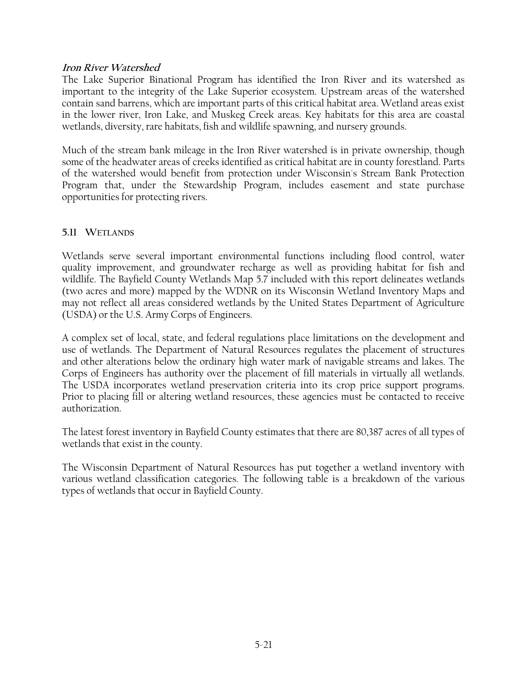#### **Iron River Watershed**

The Lake Superior Binational Program has identified the Iron River and its watershed as important to the integrity of the Lake Superior ecosystem. Upstream areas of the watershed contain sand barrens, which are important parts of this critical habitat area. Wetland areas exist in the lower river, Iron Lake, and Muskeg Creek areas. Key habitats for this area are coastal wetlands, diversity, rare habitats, fish and wildlife spawning, and nursery grounds.

Much of the stream bank mileage in the Iron River watershed is in private ownership, though some of the headwater areas of creeks identified as critical habitat are in county forestland. Parts of the watershed would benefit from protection under Wisconsin's Stream Bank Protection Program that, under the Stewardship Program, includes easement and state purchase opportunities for protecting rivers.

# **5.11 WETLANDS**

Wetlands serve several important environmental functions including flood control, water quality improvement, and groundwater recharge as well as providing habitat for fish and wildlife. The Bayfield County Wetlands Map 5.7 included with this report delineates wetlands (two acres and more) mapped by the WDNR on its Wisconsin Wetland Inventory Maps and may not reflect all areas considered wetlands by the United States Department of Agriculture (USDA) or the U.S. Army Corps of Engineers.

A complex set of local, state, and federal regulations place limitations on the development and use of wetlands. The Department of Natural Resources regulates the placement of structures and other alterations below the ordinary high water mark of navigable streams and lakes. The Corps of Engineers has authority over the placement of fill materials in virtually all wetlands. The USDA incorporates wetland preservation criteria into its crop price support programs. Prior to placing fill or altering wetland resources, these agencies must be contacted to receive authorization.

The latest forest inventory in Bayfield County estimates that there are 80,387 acres of all types of wetlands that exist in the county.

The Wisconsin Department of Natural Resources has put together a wetland inventory with various wetland classification categories. The following table is a breakdown of the various types of wetlands that occur in Bayfield County.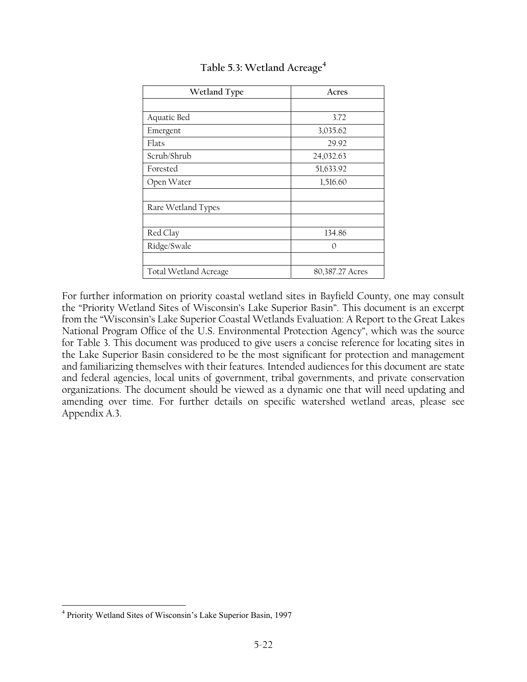| Wetland Type          | Acres           |
|-----------------------|-----------------|
|                       |                 |
| Aquatic Bed           | 3.72            |
| Emergent              | 3,035.62        |
| Flats                 | 29.92           |
| Scrub/Shrub           | 24,032.63       |
| Forested              | 51,633.92       |
| Open Water            | 1,516.60        |
|                       |                 |
| Rare Wetland Types    |                 |
|                       |                 |
| Red Clay              | 134.86          |
| Ridge/Swale           | 0               |
|                       |                 |
| Total Wetland Acreage | 80,387.27 Acres |

# **Table 5.3: Wetland Acreage4**

For further information on priority coastal wetland sites in Bayfield County, one may consult the "Priority Wetland Sites of Wisconsin's Lake Superior Basin". This document is an excerpt from the "Wisconsin's Lake Superior Coastal Wetlands Evaluation: A Report to the Great Lakes National Program Office of the U.S. Environmental Protection Agency", which was the source for Table 3. This document was produced to give users a concise reference for locating sites in the Lake Superior Basin considered to be the most significant for protection and management and familiarizing themselves with their features. Intended audiences for this document are state and federal agencies, local units of government, tribal governments, and private conservation organizations. The document should be viewed as a dynamic one that will need updating and amending over time. For further details on specific watershed wetland areas, please see Appendix A.3.

<u>.</u>

<sup>4</sup> Priority Wetland Sites of Wisconsin's Lake Superior Basin, 1997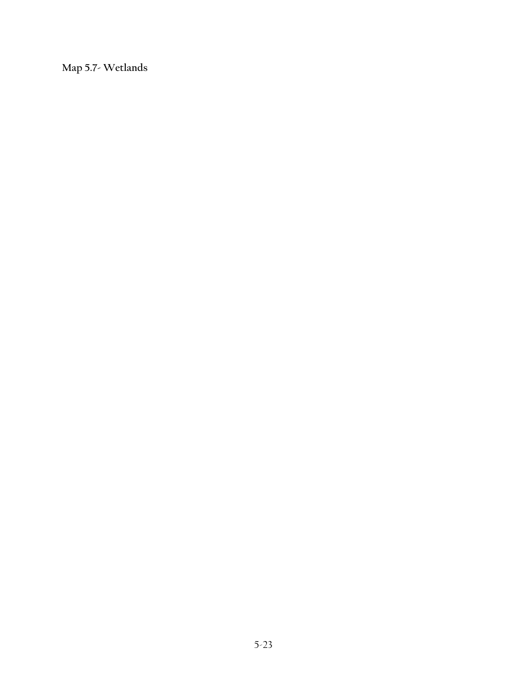**Map 5.7- Wetlands**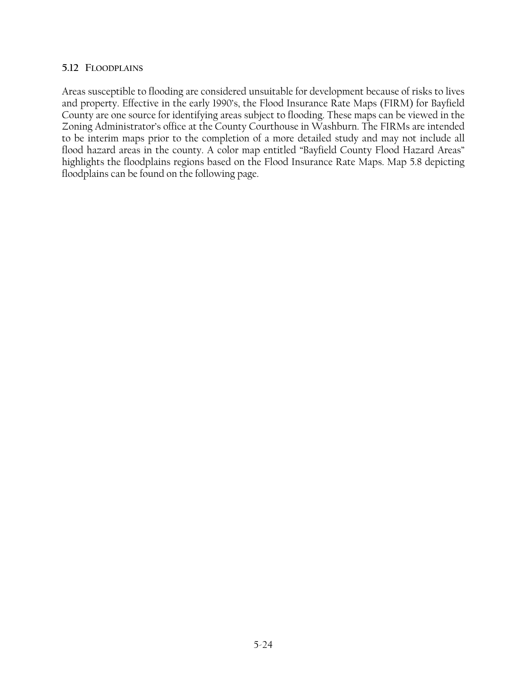#### **5.12 FLOODPLAINS**

Areas susceptible to flooding are considered unsuitable for development because of risks to lives and property. Effective in the early 1990's, the Flood Insurance Rate Maps (FIRM) for Bayfield County are one source for identifying areas subject to flooding. These maps can be viewed in the Zoning Administrator's office at the County Courthouse in Washburn. The FIRMs are intended to be interim maps prior to the completion of a more detailed study and may not include all flood hazard areas in the county. A color map entitled "Bayfield County Flood Hazard Areas" highlights the floodplains regions based on the Flood Insurance Rate Maps. Map 5.8 depicting floodplains can be found on the following page.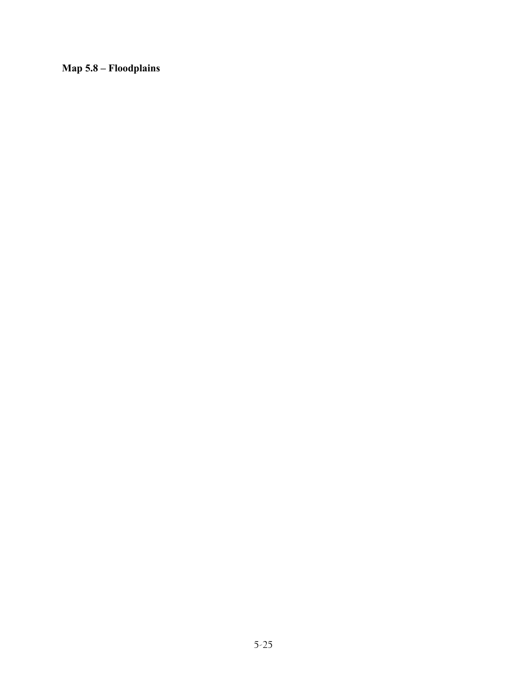**Map 5.8 – Floodplains**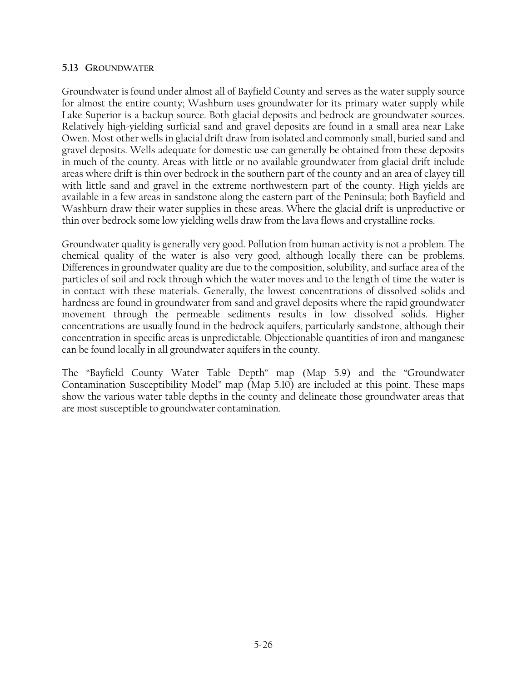#### **5.13 GROUNDWATER**

Groundwater is found under almost all of Bayfield County and serves as the water supply source for almost the entire county; Washburn uses groundwater for its primary water supply while Lake Superior is a backup source. Both glacial deposits and bedrock are groundwater sources. Relatively high-yielding surficial sand and gravel deposits are found in a small area near Lake Owen. Most other wells in glacial drift draw from isolated and commonly small, buried sand and gravel deposits. Wells adequate for domestic use can generally be obtained from these deposits in much of the county. Areas with little or no available groundwater from glacial drift include areas where drift is thin over bedrock in the southern part of the county and an area of clayey till with little sand and gravel in the extreme northwestern part of the county. High yields are available in a few areas in sandstone along the eastern part of the Peninsula; both Bayfield and Washburn draw their water supplies in these areas. Where the glacial drift is unproductive or thin over bedrock some low yielding wells draw from the lava flows and crystalline rocks.

Groundwater quality is generally very good. Pollution from human activity is not a problem. The chemical quality of the water is also very good, although locally there can be problems. Differences in groundwater quality are due to the composition, solubility, and surface area of the particles of soil and rock through which the water moves and to the length of time the water is in contact with these materials. Generally, the lowest concentrations of dissolved solids and hardness are found in groundwater from sand and gravel deposits where the rapid groundwater movement through the permeable sediments results in low dissolved solids. Higher concentrations are usually found in the bedrock aquifers, particularly sandstone, although their concentration in specific areas is unpredictable. Objectionable quantities of iron and manganese can be found locally in all groundwater aquifers in the county.

The "Bayfield County Water Table Depth" map (Map 5.9) and the "Groundwater Contamination Susceptibility Model" map (Map 5.10) are included at this point. These maps show the various water table depths in the county and delineate those groundwater areas that are most susceptible to groundwater contamination.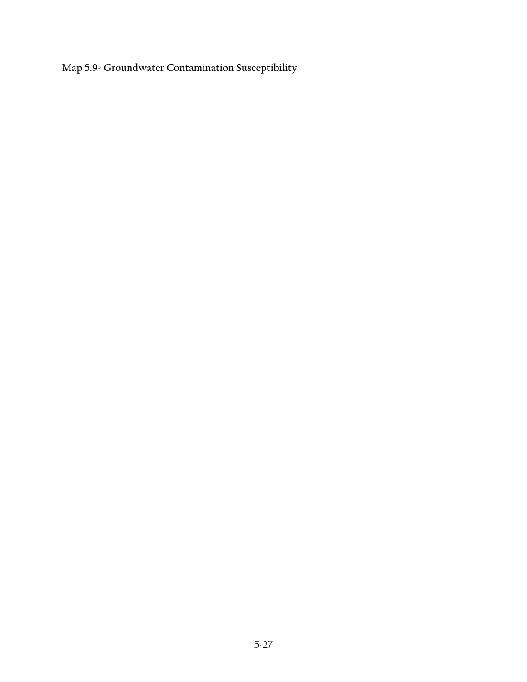**Map 5.9- Groundwater Contamination Susceptibility**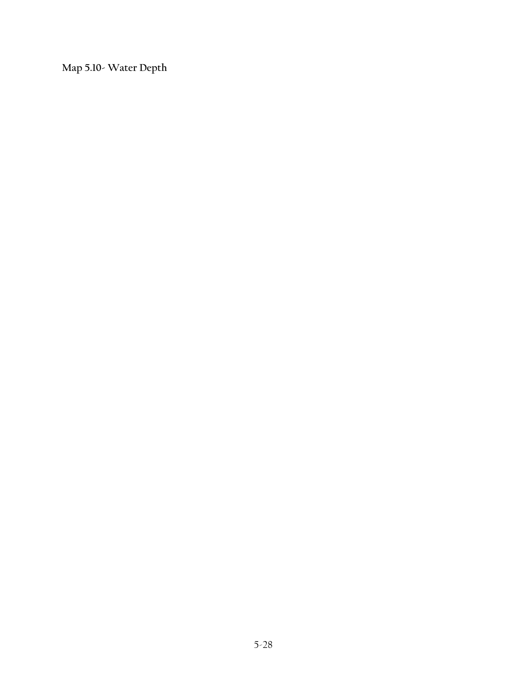**Map 5.10- Water Depth**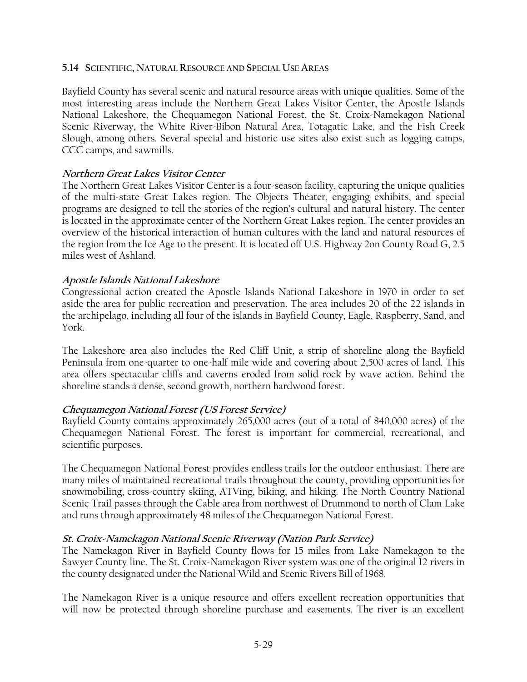#### **5.14 SCIENTIFIC, NATURAL RESOURCE AND SPECIAL USE AREAS**

Bayfield County has several scenic and natural resource areas with unique qualities. Some of the most interesting areas include the Northern Great Lakes Visitor Center, the Apostle Islands National Lakeshore, the Chequamegon National Forest, the St. Croix-Namekagon National Scenic Riverway, the White River-Bibon Natural Area, Totagatic Lake, and the Fish Creek Slough, among others. Several special and historic use sites also exist such as logging camps, CCC camps, and sawmills.

#### **Northern Great Lakes Visitor Center**

The Northern Great Lakes Visitor Center is a four-season facility, capturing the unique qualities of the multi-state Great Lakes region. The Objects Theater, engaging exhibits, and special programs are designed to tell the stories of the region's cultural and natural history. The center is located in the approximate center of the Northern Great Lakes region. The center provides an overview of the historical interaction of human cultures with the land and natural resources of the region from the Ice Age to the present. It is located off U.S. Highway 2on County Road G, 2.5 miles west of Ashland.

### **Apostle Islands National Lakeshore**

Congressional action created the Apostle Islands National Lakeshore in 1970 in order to set aside the area for public recreation and preservation. The area includes 20 of the 22 islands in the archipelago, including all four of the islands in Bayfield County, Eagle, Raspberry, Sand, and York.

The Lakeshore area also includes the Red Cliff Unit, a strip of shoreline along the Bayfield Peninsula from one-quarter to one-half mile wide and covering about 2,500 acres of land. This area offers spectacular cliffs and caverns eroded from solid rock by wave action. Behind the shoreline stands a dense, second growth, northern hardwood forest.

# **Chequamegon National Forest (US Forest Service)**

Bayfield County contains approximately 265,000 acres (out of a total of 840,000 acres) of the Chequamegon National Forest. The forest is important for commercial, recreational, and scientific purposes.

The Chequamegon National Forest provides endless trails for the outdoor enthusiast. There are many miles of maintained recreational trails throughout the county, providing opportunities for snowmobiling, cross-country skiing, ATVing, biking, and hiking. The North Country National Scenic Trail passes through the Cable area from northwest of Drummond to north of Clam Lake and runs through approximately 48 miles of the Chequamegon National Forest.

#### **St. Croix-Namekagon National Scenic Riverway (Nation Park Service)**

The Namekagon River in Bayfield County flows for 15 miles from Lake Namekagon to the Sawyer County line. The St. Croix-Namekagon River system was one of the original 12 rivers in the county designated under the National Wild and Scenic Rivers Bill of 1968.

The Namekagon River is a unique resource and offers excellent recreation opportunities that will now be protected through shoreline purchase and easements. The river is an excellent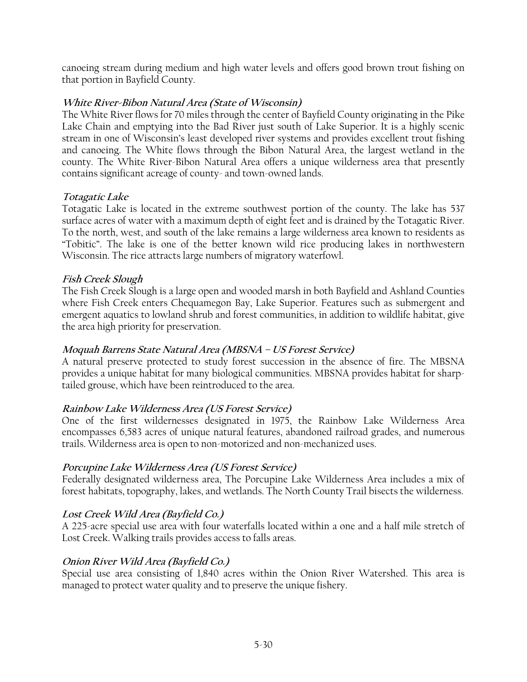canoeing stream during medium and high water levels and offers good brown trout fishing on that portion in Bayfield County.

# **White River-Bibon Natural Area (State of Wisconsin)**

The White River flows for 70 miles through the center of Bayfield County originating in the Pike Lake Chain and emptying into the Bad River just south of Lake Superior. It is a highly scenic stream in one of Wisconsin's least developed river systems and provides excellent trout fishing and canoeing. The White flows through the Bibon Natural Area, the largest wetland in the county. The White River-Bibon Natural Area offers a unique wilderness area that presently contains significant acreage of county- and town-owned lands.

# **Totagatic Lake**

Totagatic Lake is located in the extreme southwest portion of the county. The lake has 537 surface acres of water with a maximum depth of eight feet and is drained by the Totagatic River. To the north, west, and south of the lake remains a large wilderness area known to residents as "Tobitic". The lake is one of the better known wild rice producing lakes in northwestern Wisconsin. The rice attracts large numbers of migratory waterfowl.

# **Fish Creek Slough**

The Fish Creek Slough is a large open and wooded marsh in both Bayfield and Ashland Counties where Fish Creek enters Chequamegon Bay, Lake Superior. Features such as submergent and emergent aquatics to lowland shrub and forest communities, in addition to wildlife habitat, give the area high priority for preservation.

# **Moquah Barrens State Natural Area (MBSNA – US Forest Service)**

A natural preserve protected to study forest succession in the absence of fire. The MBSNA provides a unique habitat for many biological communities. MBSNA provides habitat for sharptailed grouse, which have been reintroduced to the area.

# **Rainbow Lake Wilderness Area (US Forest Service)**

One of the first wildernesses designated in 1975, the Rainbow Lake Wilderness Area encompasses 6,583 acres of unique natural features, abandoned railroad grades, and numerous trails. Wilderness area is open to non-motorized and non-mechanized uses.

# **Porcupine Lake Wilderness Area (US Forest Service)**

Federally designated wilderness area, The Porcupine Lake Wilderness Area includes a mix of forest habitats, topography, lakes, and wetlands. The North County Trail bisects the wilderness.

# **Lost Creek Wild Area (Bayfield Co.)**

A 225-acre special use area with four waterfalls located within a one and a half mile stretch of Lost Creek. Walking trails provides access to falls areas.

# **Onion River Wild Area (Bayfield Co.)**

Special use area consisting of 1,840 acres within the Onion River Watershed. This area is managed to protect water quality and to preserve the unique fishery.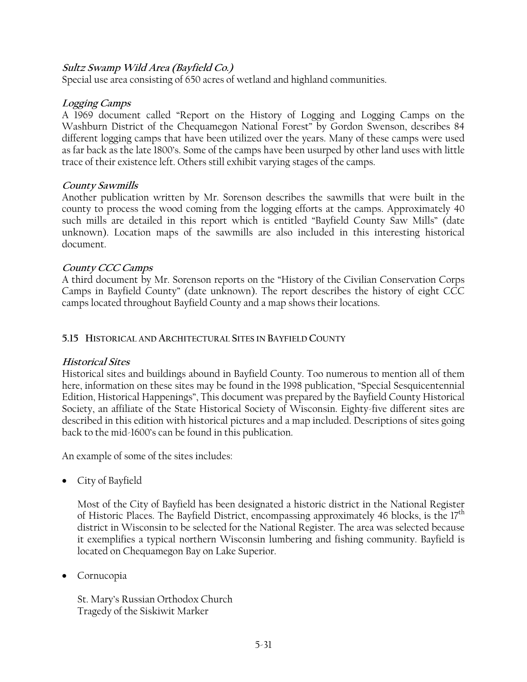# **Sultz Swamp Wild Area (Bayfield Co.)**

Special use area consisting of 650 acres of wetland and highland communities.

### **Logging Camps**

A 1969 document called "Report on the History of Logging and Logging Camps on the Washburn District of the Chequamegon National Forest" by Gordon Swenson, describes 84 different logging camps that have been utilized over the years. Many of these camps were used as far back as the late 1800's. Some of the camps have been usurped by other land uses with little trace of their existence left. Others still exhibit varying stages of the camps.

# **County Sawmills**

Another publication written by Mr. Sorenson describes the sawmills that were built in the county to process the wood coming from the logging efforts at the camps. Approximately 40 such mills are detailed in this report which is entitled "Bayfield County Saw Mills" (date unknown). Location maps of the sawmills are also included in this interesting historical document.

# **County CCC Camps**

A third document by Mr. Sorenson reports on the "History of the Civilian Conservation Corps Camps in Bayfield County" (date unknown). The report describes the history of eight CCC camps located throughout Bayfield County and a map shows their locations.

### **5.15 HISTORICAL AND ARCHITECTURAL SITES IN BAYFIELD COUNTY**

# **Historical Sites**

Historical sites and buildings abound in Bayfield County. Too numerous to mention all of them here, information on these sites may be found in the 1998 publication, "Special Sesquicentennial Edition, Historical Happenings", This document was prepared by the Bayfield County Historical Society, an affiliate of the State Historical Society of Wisconsin. Eighty-five different sites are described in this edition with historical pictures and a map included. Descriptions of sites going back to the mid-1600's can be found in this publication.

An example of some of the sites includes:

• City of Bayfield

Most of the City of Bayfield has been designated a historic district in the National Register of Historic Places. The Bayfield District, encompassing approximately 46 blocks, is the 17<sup>th</sup> district in Wisconsin to be selected for the National Register. The area was selected because it exemplifies a typical northern Wisconsin lumbering and fishing community. Bayfield is located on Chequamegon Bay on Lake Superior.

• Cornucopia

St. Mary's Russian Orthodox Church Tragedy of the Siskiwit Marker